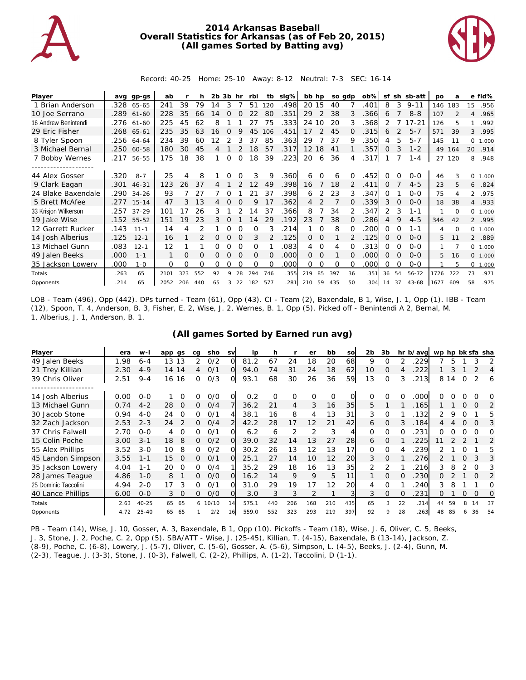

## **2014 Arkansas Baseball Overall Statistics for Arkansas (as of Feb 20, 2015) (All games Sorted by Batting avg)**



Record: 40-25 Home: 25-10 Away: 8-12 Neutral: 7-3 SEC: 16-14

| Player               | ava  | gp-gs      | ab   |     | h   | 2b. | 3b       | hr       | rbi      | tb  | $slq\%$ | bb hp           |          | so adp   |              | $ob\%$ | sf       |          | sh sb-att | <b>DO</b> | a        |                | e fld%   |
|----------------------|------|------------|------|-----|-----|-----|----------|----------|----------|-----|---------|-----------------|----------|----------|--------------|--------|----------|----------|-----------|-----------|----------|----------------|----------|
| 1 Brian Anderson     | .328 | 65-65      | 241  | 39  | 79  | 14  | 3        |          | 51       | 120 | .498    | 20 15           |          | 40       |              | .401   | 8        | 3        | $9 - 11$  | 146       | 183      | 15             | .956     |
| 10 Joe Serrano       |      | .289 61-60 | 228  | 35  | 66  | l 4 |          |          | 22       | 80  | .351    | 29              | 2        | 38       | 3            | .366   | 6        |          | $8 - 8$   | 107       |          | 4              | .965     |
| 16 Andrew Benintendi | .276 | 61-60      | 225  | 45  | 62  | 8   |          |          | 27       | 75  | .333    | 24              | 10       | 20       | 3            | 368    | 2        |          | $17 - 21$ | 126       | 5        |                | .992     |
| 29 Eric Fisher       | .268 | 65-61      | 235  | 35  | 63  | 16  | $\Omega$ | 9        | 45       | 106 | .451    | 17              | 2        | 45       | 0            | .315   | 6        | 2        | $5 - 7$   | 571       | 39       | 3              | .995     |
| 8 Tyler Spoon        |      | .256 64-64 | 234  | 39  | 60  |     |          |          | 37       | 85  | 363     | 29              |          | 37       | 9            | .350   | 4        | 5        | $5 - 7$   | 145       | 11       |                | 0, 1,000 |
| 3 Michael Bernal     | .250 | 60-58      | 180  | 30  | 45  | 4   |          |          | 18       | 57  | 317     | 12 <sup>2</sup> | 18       | 41       |              | 357    | $\Omega$ | 3        | $1 - 2$   | 49        | 164      | 20             | .914     |
| 7 Bobby Wernes       | .217 | 56-55      | 175  | 18  | 38  |     | $\Omega$ | $\Omega$ | 18       | 39  | 223     | 20              | 6        | 36       | 4            | .317   |          |          | $1 - 4$   | 27        | 120      | 8              | .948     |
|                      |      |            |      |     |     |     |          |          |          |     |         |                 |          |          |              |        |          |          |           |           |          |                |          |
| 44 Alex Gosser       | .320 | $8 - 7$    | 25   |     | 8   |     |          |          | 3        | 9   | .360    | 6               | $\Omega$ | 6        | $\Omega$     | .452   | $\Omega$ | $\Omega$ | $0 - 0$   | 46        | 3        | 0              | 1.000    |
| 9 Clark Eagan        | .301 | $46 - 31$  | 123  | 26  | 37  | 4   |          |          | 12       | 49  | .398    | 16              |          | 18       | 2            | .411   | $\Omega$ |          | $4 - 5$   | 23        | 5        | 6              | .824     |
| 24 Blake Baxendale   |      | .290 34-26 | 93   |     | 27  |     |          |          | 21       | 37  | .398    | 6               | 2        | 23       | 3            | .347   | ∩        |          | $0 - 0$   | 75        | 4        | $\overline{2}$ | .975     |
| 5 Brett McAfee       | .277 | $15 - 14$  | 47   | 3   | 13  | 4   |          |          | 9        | 17  | 362     | 4               |          |          | $\Omega$     | 339    | 3        | $\Omega$ | $0 - 0$   | 18        | 38       | $\overline{4}$ | .933     |
| 33 Krisjon Wilkerson | .257 | $37 - 29$  | 101  | 17  | 26  | 3   |          |          | 14       | 37  | .366    | 8               |          | 34       |              | .347   | 2        | 3        | $1 - 1$   |           | $\Omega$ |                | 0, 1,000 |
| 19 Jake Wise         | .152 | 55-52      | 151  | 19  | 23  | 3   |          |          | 14       | 29  | .192    | 23              |          | 38       | <sup>o</sup> | 286    | 4        | 9        | $4 - 5$   | 346       | 42       |                | 2 .995   |
| 12 Garrett Rucker    | .143 | $11 - 1$   | 14   | 4   |     |     |          | O        | Ω        | 3   | 214     |                 | $\Omega$ | 8        | $\Omega$     | 200    | $\Omega$ | $\Omega$ | 1-1       | 4         | $\Omega$ |                | 0, 1,000 |
| 14 Josh Alberius     | .125 | $12 - 1$   | 16   |     |     | 0   | $\Omega$ | $\Omega$ | 3        |     | .125    | $\Omega$        | $\Omega$ |          |              | .125   | $\Omega$ | $\Omega$ | $0 - 0$   | 5         | 11       |                | 2 .889   |
| 13 Michael Gunn      | .083 | $12 - 1$   | 12   |     |     | Ω   |          |          | O        |     | .083    | 4               | 0        | 4        |              | .313   | $\Omega$ | O        | $0 - 0$   |           |          |                | 0 1.000  |
| 49 Jalen Beeks       | .000 | $1 - 1$    |      | Ο   | Ω   | 0   |          |          | $\Omega$ | O   | .000    | 0               | $\Omega$ |          | $\Omega$     | .000   | $\Omega$ | O        | $0 - 0$   | 5.        | 16       |                | 0, 1,000 |
| 35 Jackson Lowery    | .000 | $1 - 0$    | 0    | Ω   | O   | 0   | Ω        | O        | $\Omega$ | O   | .000    | 0               | $\Omega$ | $\Omega$ | $\Omega$     | .000   | $\Omega$ | O        | $0 - 0$   |           | 5        |                | 0 1.000  |
| Totals               | .263 | 65         | 2101 | 323 | 552 | 92  | 9        | 28       | 294      | 746 | .355    | 219             | 85       | 397      | 36           | .351   | 36       | 54       | $56 - 72$ | 1726      | 722      | 73             | .971     |
| Opponents            | .214 | 65         | 2052 | 206 | 440 | 65  | 3        | 22       | 182      | 577 | .281    | 210             | 59       | 435      | 50           | .304   | 14       | 37       | $43 - 68$ | 1677      | 609      | 58             | .975     |

LOB - Team (496), Opp (442). DPs turned - Team (61), Opp (43). CI - Team (2), Baxendale, B 1, Wise, J. 1, Opp (1). IBB - Team (12), Spoon, T. 4, Anderson, B. 3, Fisher, E. 2, Wise, J. 2, Wernes, B. 1, Opp (5). Picked off - Benintendi A 2, Bernal, M. 1, Alberius, J. 1, Anderson, B. 1.

## **(All games Sorted by Earned run avg)**

| Player               | era  | $W -$     | app<br>as | ca       | sho     | <b>SV</b> | ip    | h   |     | er  | bb       | <b>SO</b> | 2b | 3b            | hr | b/avg | wp hp bk sfa sha |    |          |          |    |
|----------------------|------|-----------|-----------|----------|---------|-----------|-------|-----|-----|-----|----------|-----------|----|---------------|----|-------|------------------|----|----------|----------|----|
| 49 Jalen Beeks       | 1.98 | $6 - 4$   | 13<br>13  | 2        | O/2     | $\Omega$  | 81.2  | 67  | 24  | 18  | 20       | 68        | 9  | 0             |    | 229   |                  | 5  |          |          |    |
| 21 Trey Killian      | 2.30 | $4 - 9$   | 14 14     | 4        | O/1     | O         | 94.0  | 74  | 31  | 24  | 18       | 62        | 10 | 0             | 4  | 222   |                  |    |          |          | 4  |
| 39 Chris Oliver      | 2.51 | $9 - 4$   | 16 16     | 0        | O/3     | O.        | 93.1  | 68  | 30  | 26  | 36       | 59        | 13 | $\Omega$      | 3  | 213   | 8                | 14 | 0        |          | 6  |
|                      |      |           |           |          |         |           |       |     |     |     |          |           |    |               |    |       |                  |    |          |          |    |
| 14 Josh Alberius     | 0.00 | $O-O$     | O         | 0        | O/O     | O         | 0.2   | 0   | O   | O   | $\Omega$ |           | 0  | 0             | O  | .000  | Ω                |    |          |          | O  |
| 13 Michael Gunn      | 0.74 | $4 - 2$   | 28<br>0   | 0        | O/4     |           | 36.2  | 21  | 4   | 3   | 16       | 35        | 5  |               |    | .165  |                  |    | $\Omega$ | $\Omega$ | 2  |
| 30 Jacob Stone       | 0.94 | $4 - 0$   | 24<br>O   | 0        | O/1     | 4         | 38.1  | 16  | 8   | 4   | 13       | 31        | 3  | 0             |    | .132  | 2                | 9  | ∩        |          | 5  |
| 32 Zach Jackson      | 2.53 | $2 - 3$   | 24<br>2   | 0        | O/4     | 2         | 42.2  | 28  | 17  | 12  | 21       | 42        | 6  | 0             | 3  | 184   | 4                | 4  | $\Omega$ | $\Omega$ | 3  |
| 37 Chris Falwell     | 2.70 | $O - O$   | O<br>4    | 0        | O/1     | Ω         | 6.2   | 6   | 2   |     | 3        |           | 0  | Ω             |    | 231   | Ω                |    |          |          | O  |
| 15 Colin Poche       | 3.00 | $3 - 1$   | 8<br>18   | $\Omega$ | O/2     | $\Omega$  | 39.0  | 32  | 14  | 13  | 27       | 28        | 6  | 0             |    | .225  | 11               |    |          |          | 2  |
| 55 Alex Phillips     | 3.52 | $3 - 0$   | 8<br>10   | 0        | 0/2     | Ω         | 30.2  | 26  | 13  | 12  | 13       | 17        | 0  | 0             |    | 239   |                  |    |          |          | 5  |
| 45 Landon Simpson    | 3.55 | $1 - 1$   | 15<br>0   | 0        | O/1     | Ω         | 25.1  | 27  | 14  | 10  | 12       | 20        | 3  | $\Omega$      |    | 276   |                  |    | $\Omega$ |          | 3  |
| 35 Jackson Lowery    | 4.04 | $1 - 1$   | 20<br>O   | 0        | O/4     |           | 35.2  | 29  | 18  | 16  | 13       | 35        |    | $\mathcal{P}$ |    | 216   | 3                | 8  |          |          | 3  |
| 28 James Teague      | 4.86 | $1 - 0$   | 8         | 0        | O/O     | Ω         | 16.2  | 14  | 9   | 9   | 5        | 11        |    | $\Omega$      | 0  | 230   | 0                |    |          | $\Omega$ | 2  |
| 25 Dominic Taccolini | 4.94 | $2 - 0$   | 17<br>3   | 0        | O/1     | $\Omega$  | 31.0  | 29  | 19  | 17  | 12       | 20        | 4  | $\Omega$      |    | 240   | 3                | 8  |          |          | Ω  |
| 40 Lance Phillips    | 6.00 | $0 - 0$   | 3<br>0    | 0        | O/O     | Ω         | 3.0   | 3   | 3   |     |          |           | 3  | 0             | Ω  | 231   | 0                |    | 0        | 0        | 0  |
| Totals               | 2.63 | $40 - 25$ | 65<br>65  |          | 6 10/10 | 14        | 575.1 | 440 | 206 | 168 | 210      | 435       | 65 | 3             | 22 | .214  | 44               | 59 |          | 14       | 37 |
| Opponents            | 4.72 | $25 - 40$ | 65<br>65  |          | 2/2     | 16        | 559.0 | 552 | 323 | 293 | 219      | 397       | 92 | 9             | 28 | 263   | 48               | 85 |          | 36       | 54 |

PB - Team (14), Wise, J. 10, Gosser, A. 3, Baxendale, B 1, Opp (10). Pickoffs - Team (18), Wise, J. 6, Oliver, C. 5, Beeks, J. 3, Stone, J. 2, Poche, C. 2, Opp (5). SBA/ATT - Wise, J. (25-45), Killian, T. (4-15), Baxendale, B (13-14), Jackson, Z. (8-9), Poche, C. (6-8), Lowery, J. (5-7), Oliver, C. (5-6), Gosser, A. (5-6), Simpson, L. (4-5), Beeks, J. (2-4), Gunn, M. (2-3), Teague, J. (3-3), Stone, J. (0-3), Falwell, C. (2-2), Phillips, A. (1-2), Taccolini, D (1-1).